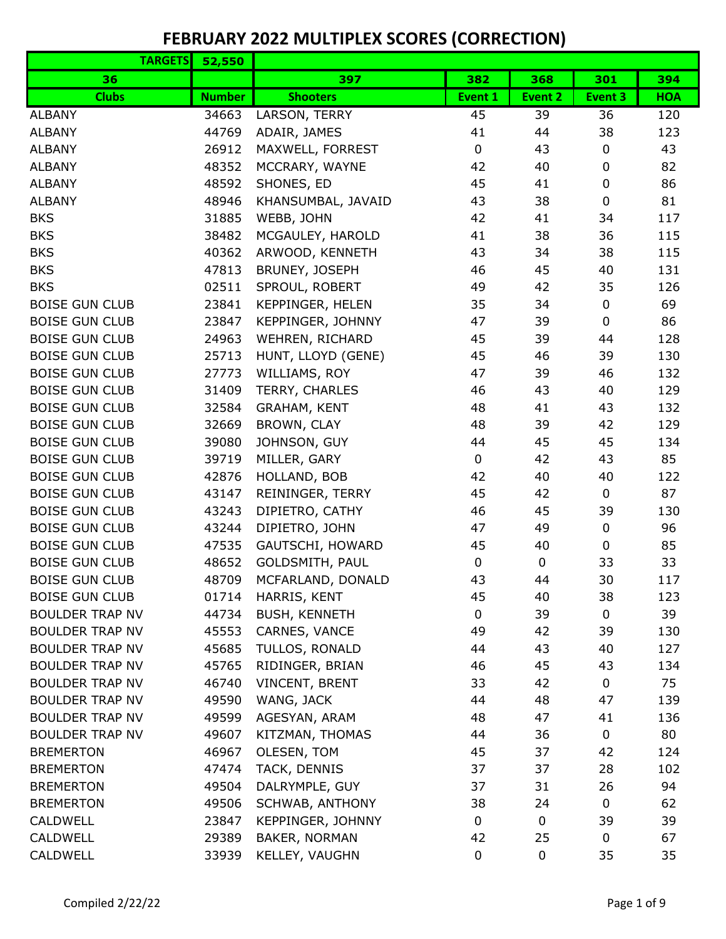| <b>TARGETS</b>         | 52,550        |                      |             |                |             |            |
|------------------------|---------------|----------------------|-------------|----------------|-------------|------------|
| 36                     |               | 397                  | 382         | 368            | 301         | 394        |
| <b>Clubs</b>           | <b>Number</b> | <b>Shooters</b>      | Event 1     | <b>Event 2</b> | Event 3     | <b>HOA</b> |
| <b>ALBANY</b>          | 34663         | LARSON, TERRY        | 45          | 39             | 36          | 120        |
| <b>ALBANY</b>          | 44769         | ADAIR, JAMES         | 41          | 44             | 38          | 123        |
| <b>ALBANY</b>          | 26912         | MAXWELL, FORREST     | $\pmb{0}$   | 43             | 0           | 43         |
| <b>ALBANY</b>          | 48352         | MCCRARY, WAYNE       | 42          | 40             | 0           | 82         |
| <b>ALBANY</b>          | 48592         | SHONES, ED           | 45          | 41             | 0           | 86         |
| <b>ALBANY</b>          | 48946         | KHANSUMBAL, JAVAID   | 43          | 38             | $\pmb{0}$   | 81         |
| <b>BKS</b>             | 31885         | WEBB, JOHN           | 42          | 41             | 34          | 117        |
| <b>BKS</b>             | 38482         | MCGAULEY, HAROLD     | 41          | 38             | 36          | 115        |
| <b>BKS</b>             | 40362         | ARWOOD, KENNETH      | 43          | 34             | 38          | 115        |
| <b>BKS</b>             | 47813         | BRUNEY, JOSEPH       | 46          | 45             | 40          | 131        |
| <b>BKS</b>             | 02511         | SPROUL, ROBERT       | 49          | 42             | 35          | 126        |
| <b>BOISE GUN CLUB</b>  | 23841         | KEPPINGER, HELEN     | 35          | 34             | 0           | 69         |
| <b>BOISE GUN CLUB</b>  | 23847         | KEPPINGER, JOHNNY    | 47          | 39             | 0           | 86         |
| <b>BOISE GUN CLUB</b>  | 24963         | WEHREN, RICHARD      | 45          | 39             | 44          | 128        |
| <b>BOISE GUN CLUB</b>  | 25713         | HUNT, LLOYD (GENE)   | 45          | 46             | 39          | 130        |
| <b>BOISE GUN CLUB</b>  | 27773         | WILLIAMS, ROY        | 47          | 39             | 46          | 132        |
| <b>BOISE GUN CLUB</b>  | 31409         | TERRY, CHARLES       | 46          | 43             | 40          | 129        |
| <b>BOISE GUN CLUB</b>  | 32584         | <b>GRAHAM, KENT</b>  | 48          | 41             | 43          | 132        |
| <b>BOISE GUN CLUB</b>  | 32669         | BROWN, CLAY          | 48          | 39             | 42          | 129        |
| <b>BOISE GUN CLUB</b>  | 39080         | JOHNSON, GUY         | 44          | 45             | 45          | 134        |
| <b>BOISE GUN CLUB</b>  | 39719         | MILLER, GARY         | $\mathbf 0$ | 42             | 43          | 85         |
| <b>BOISE GUN CLUB</b>  | 42876         | HOLLAND, BOB         | 42          | 40             | 40          | 122        |
| <b>BOISE GUN CLUB</b>  | 43147         | REININGER, TERRY     | 45          | 42             | $\mathbf 0$ | 87         |
| <b>BOISE GUN CLUB</b>  | 43243         | DIPIETRO, CATHY      | 46          | 45             | 39          | 130        |
| <b>BOISE GUN CLUB</b>  | 43244         | DIPIETRO, JOHN       | 47          | 49             | 0           | 96         |
| <b>BOISE GUN CLUB</b>  | 47535         | GAUTSCHI, HOWARD     | 45          | 40             | 0           | 85         |
| <b>BOISE GUN CLUB</b>  | 48652         | GOLDSMITH, PAUL      | $\mathbf 0$ | $\mathbf 0$    | 33          | 33         |
| <b>BOISE GUN CLUB</b>  | 48709         | MCFARLAND, DONALD    | 43          | 44             | 30          | 117        |
| <b>BOISE GUN CLUB</b>  | 01714         | HARRIS, KENT         | 45          | 40             | 38          | 123        |
| <b>BOULDER TRAP NV</b> | 44734         | <b>BUSH, KENNETH</b> | $\mathbf 0$ | 39             | $\mathbf 0$ | 39         |
| <b>BOULDER TRAP NV</b> | 45553         | CARNES, VANCE        | 49          | 42             | 39          | 130        |
| <b>BOULDER TRAP NV</b> | 45685         | TULLOS, RONALD       | 44          | 43             | 40          | 127        |
| <b>BOULDER TRAP NV</b> | 45765         | RIDINGER, BRIAN      | 46          | 45             | 43          | 134        |
| <b>BOULDER TRAP NV</b> | 46740         | VINCENT, BRENT       | 33          | 42             | 0           | 75         |
| <b>BOULDER TRAP NV</b> | 49590         | WANG, JACK           | 44          | 48             | 47          | 139        |
| <b>BOULDER TRAP NV</b> | 49599         | AGESYAN, ARAM        | 48          | 47             | 41          | 136        |
| <b>BOULDER TRAP NV</b> | 49607         | KITZMAN, THOMAS      | 44          | 36             | 0           | 80         |
| <b>BREMERTON</b>       | 46967         | OLESEN, TOM          | 45          | 37             | 42          | 124        |
| <b>BREMERTON</b>       | 47474         | TACK, DENNIS         | 37          | 37             | 28          | 102        |
| <b>BREMERTON</b>       | 49504         | DALRYMPLE, GUY       | 37          | 31             | 26          | 94         |
| <b>BREMERTON</b>       | 49506         | SCHWAB, ANTHONY      | 38          | 24             | 0           | 62         |
| CALDWELL               | 23847         | KEPPINGER, JOHNNY    | $\mathbf 0$ | $\mathbf 0$    | 39          | 39         |
| <b>CALDWELL</b>        | 29389         | BAKER, NORMAN        | 42          | 25             | 0           | 67         |
| <b>CALDWELL</b>        | 33939         | KELLEY, VAUGHN       | $\mathbf 0$ | $\mathbf 0$    | 35          | 35         |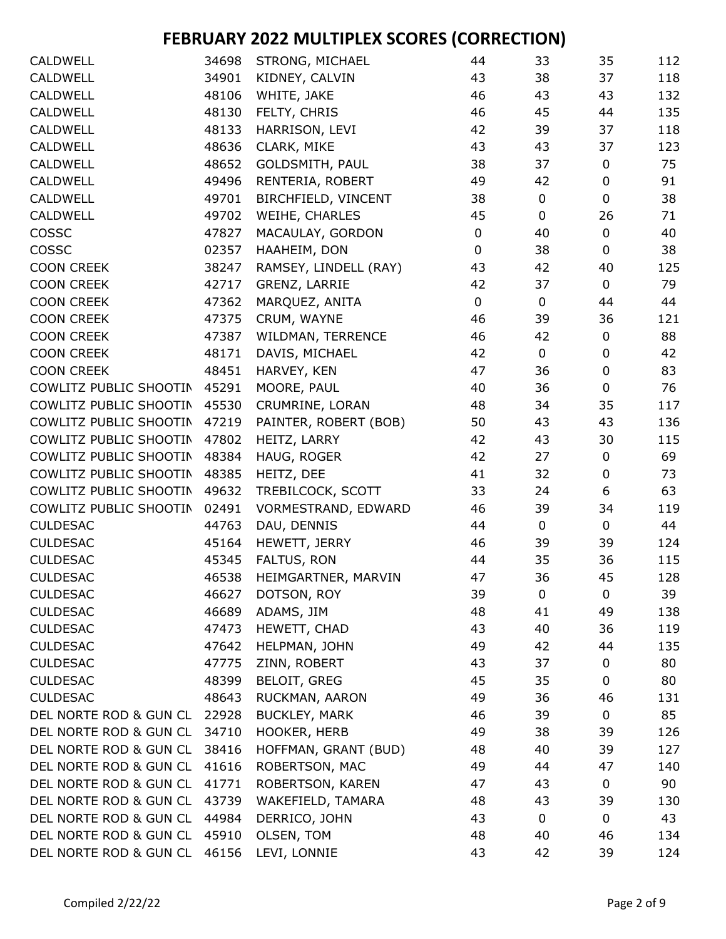| <b>CALDWELL</b>        | 34698 | <b>STRONG, MICHAEL</b> | 44          | 33          | 35          | 112 |
|------------------------|-------|------------------------|-------------|-------------|-------------|-----|
| <b>CALDWELL</b>        | 34901 | KIDNEY, CALVIN         | 43          | 38          | 37          | 118 |
| <b>CALDWELL</b>        | 48106 | WHITE, JAKE            | 46          | 43          | 43          | 132 |
| <b>CALDWELL</b>        | 48130 | FELTY, CHRIS           | 46          | 45          | 44          | 135 |
| <b>CALDWELL</b>        | 48133 | HARRISON, LEVI         | 42          | 39          | 37          | 118 |
| <b>CALDWELL</b>        | 48636 | CLARK, MIKE            | 43          | 43          | 37          | 123 |
| <b>CALDWELL</b>        | 48652 | GOLDSMITH, PAUL        | 38          | 37          | 0           | 75  |
| <b>CALDWELL</b>        | 49496 | RENTERIA, ROBERT       | 49          | 42          | 0           | 91  |
| <b>CALDWELL</b>        | 49701 | BIRCHFIELD, VINCENT    | 38          | 0           | $\pmb{0}$   | 38  |
| <b>CALDWELL</b>        | 49702 | WEIHE, CHARLES         | 45          | 0           | 26          | 71  |
| COSSC                  | 47827 | MACAULAY, GORDON       | $\mathbf 0$ | 40          | $\mathbf 0$ | 40  |
| COSSC                  | 02357 | HAAHEIM, DON           | $\mathbf 0$ | 38          | 0           | 38  |
| <b>COON CREEK</b>      | 38247 | RAMSEY, LINDELL (RAY)  | 43          | 42          | 40          | 125 |
| <b>COON CREEK</b>      | 42717 | GRENZ, LARRIE          | 42          | 37          | 0           | 79  |
| <b>COON CREEK</b>      | 47362 | MARQUEZ, ANITA         | 0           | 0           | 44          | 44  |
| <b>COON CREEK</b>      | 47375 | CRUM, WAYNE            | 46          | 39          | 36          | 121 |
| <b>COON CREEK</b>      | 47387 | WILDMAN, TERRENCE      | 46          | 42          | 0           | 88  |
| <b>COON CREEK</b>      | 48171 | DAVIS, MICHAEL         | 42          | $\mathbf 0$ | $\mathbf 0$ | 42  |
| <b>COON CREEK</b>      | 48451 | HARVEY, KEN            | 47          | 36          | $\pmb{0}$   | 83  |
| COWLITZ PUBLIC SHOOTIN | 45291 | MOORE, PAUL            | 40          | 36          | $\pmb{0}$   | 76  |
| COWLITZ PUBLIC SHOOTIN | 45530 | CRUMRINE, LORAN        | 48          | 34          | 35          | 117 |
| COWLITZ PUBLIC SHOOTIN | 47219 | PAINTER, ROBERT (BOB)  | 50          | 43          | 43          | 136 |
| COWLITZ PUBLIC SHOOTIN | 47802 | HEITZ, LARRY           | 42          | 43          | 30          | 115 |
| COWLITZ PUBLIC SHOOTIN | 48384 | HAUG, ROGER            | 42          | 27          | $\pmb{0}$   | 69  |
| COWLITZ PUBLIC SHOOTIN | 48385 | HEITZ, DEE             | 41          | 32          | $\pmb{0}$   | 73  |
| COWLITZ PUBLIC SHOOTIN | 49632 | TREBILCOCK, SCOTT      | 33          | 24          | 6           | 63  |
| COWLITZ PUBLIC SHOOTIN | 02491 | VORMESTRAND, EDWARD    | 46          | 39          | 34          | 119 |
| <b>CULDESAC</b>        | 44763 | DAU, DENNIS            | 44          | 0           | 0           | 44  |
| <b>CULDESAC</b>        | 45164 | HEWETT, JERRY          | 46          | 39          | 39          | 124 |
| <b>CULDESAC</b>        | 45345 | FALTUS, RON            | 44          | 35          | 36          | 115 |
| <b>CULDESAC</b>        | 46538 | HEIMGARTNER, MARVIN    | 47          | 36          | 45          | 128 |
| <b>CULDESAC</b>        | 46627 | DOTSON, ROY            | 39          | 0           | 0           | 39  |
| <b>CULDESAC</b>        | 46689 | ADAMS, JIM             | 48          | 41          | 49          | 138 |
| <b>CULDESAC</b>        | 47473 | HEWETT, CHAD           | 43          | 40          | 36          | 119 |
| <b>CULDESAC</b>        | 47642 | HELPMAN, JOHN          | 49          | 42          | 44          | 135 |
| <b>CULDESAC</b>        | 47775 | ZINN, ROBERT           | 43          | 37          | $\mathbf 0$ | 80  |
| <b>CULDESAC</b>        | 48399 | <b>BELOIT, GREG</b>    | 45          | 35          | $\mathbf 0$ | 80  |
| <b>CULDESAC</b>        | 48643 | RUCKMAN, AARON         | 49          | 36          | 46          | 131 |
| DEL NORTE ROD & GUN CL | 22928 | <b>BUCKLEY, MARK</b>   | 46          | 39          | $\pmb{0}$   | 85  |
| DEL NORTE ROD & GUN CL | 34710 | HOOKER, HERB           | 49          | 38          | 39          | 126 |
| DEL NORTE ROD & GUN CL | 38416 | HOFFMAN, GRANT (BUD)   | 48          | 40          | 39          | 127 |
| DEL NORTE ROD & GUN CL | 41616 | ROBERTSON, MAC         | 49          | 44          | 47          | 140 |
| DEL NORTE ROD & GUN CL | 41771 | ROBERTSON, KAREN       | 47          | 43          | 0           | 90  |
| DEL NORTE ROD & GUN CL | 43739 | WAKEFIELD, TAMARA      | 48          | 43          | 39          | 130 |
| DEL NORTE ROD & GUN CL | 44984 | DERRICO, JOHN          | 43          | 0           | 0           | 43  |
| DEL NORTE ROD & GUN CL | 45910 | OLSEN, TOM             | 48          | 40          | 46          | 134 |
| DEL NORTE ROD & GUN CL | 46156 | LEVI, LONNIE           | 43          | 42          | 39          | 124 |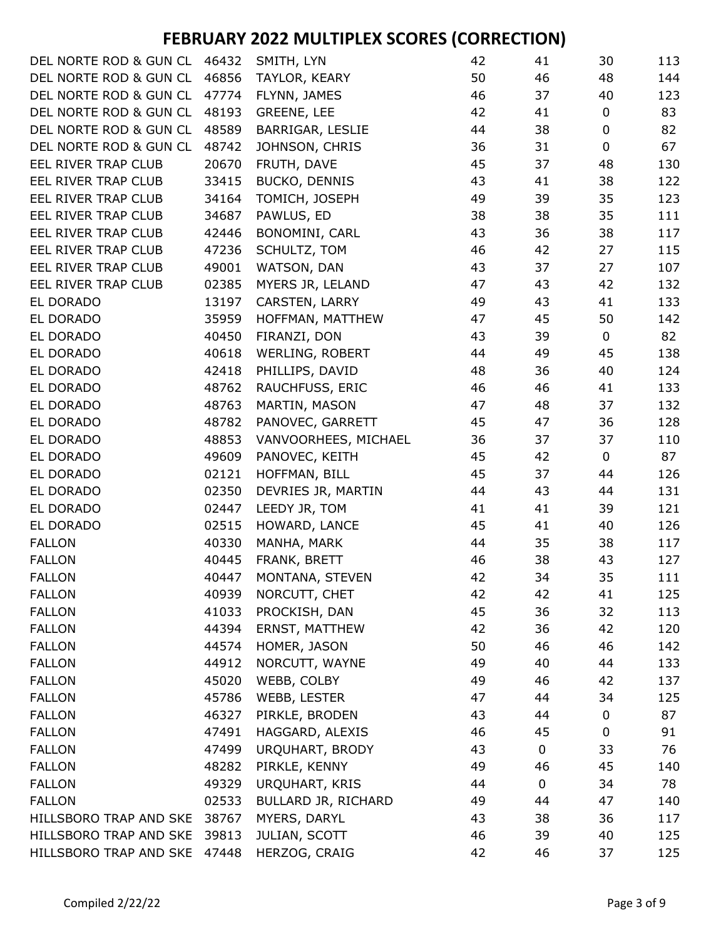| DEL NORTE ROD & GUN CL       | 46432 | SMITH, LYN           | 42 | 41          | 30               | 113 |
|------------------------------|-------|----------------------|----|-------------|------------------|-----|
| DEL NORTE ROD & GUN CL       | 46856 | TAYLOR, KEARY        | 50 | 46          | 48               | 144 |
| DEL NORTE ROD & GUN CL       | 47774 | FLYNN, JAMES         | 46 | 37          | 40               | 123 |
| DEL NORTE ROD & GUN CL       | 48193 | <b>GREENE, LEE</b>   | 42 | 41          | 0                | 83  |
| DEL NORTE ROD & GUN CL       | 48589 | BARRIGAR, LESLIE     | 44 | 38          | 0                | 82  |
| DEL NORTE ROD & GUN CL       | 48742 | JOHNSON, CHRIS       | 36 | 31          | $\mathbf 0$      | 67  |
| EEL RIVER TRAP CLUB          | 20670 | FRUTH, DAVE          | 45 | 37          | 48               | 130 |
| EEL RIVER TRAP CLUB          | 33415 | <b>BUCKO, DENNIS</b> | 43 | 41          | 38               | 122 |
| EEL RIVER TRAP CLUB          | 34164 | TOMICH, JOSEPH       | 49 | 39          | 35               | 123 |
| EEL RIVER TRAP CLUB          | 34687 | PAWLUS, ED           | 38 | 38          | 35               | 111 |
| EEL RIVER TRAP CLUB          | 42446 | BONOMINI, CARL       | 43 | 36          | 38               | 117 |
| EEL RIVER TRAP CLUB          | 47236 | SCHULTZ, TOM         | 46 | 42          | 27               | 115 |
| EEL RIVER TRAP CLUB          | 49001 | WATSON, DAN          | 43 | 37          | 27               | 107 |
| EEL RIVER TRAP CLUB          | 02385 | MYERS JR, LELAND     | 47 | 43          | 42               | 132 |
| EL DORADO                    | 13197 | CARSTEN, LARRY       | 49 | 43          | 41               | 133 |
| EL DORADO                    | 35959 | HOFFMAN, MATTHEW     | 47 | 45          | 50               | 142 |
| EL DORADO                    | 40450 | FIRANZI, DON         | 43 | 39          | 0                | 82  |
| EL DORADO                    | 40618 | WERLING, ROBERT      | 44 | 49          | 45               | 138 |
| EL DORADO                    | 42418 | PHILLIPS, DAVID      | 48 | 36          | 40               | 124 |
| EL DORADO                    | 48762 | RAUCHFUSS, ERIC      | 46 | 46          | 41               | 133 |
| EL DORADO                    | 48763 | MARTIN, MASON        | 47 | 48          | 37               | 132 |
| EL DORADO                    | 48782 | PANOVEC, GARRETT     | 45 | 47          | 36               | 128 |
| EL DORADO                    | 48853 | VANVOORHEES, MICHAEL | 36 | 37          | 37               | 110 |
| EL DORADO                    | 49609 | PANOVEC, KEITH       | 45 | 42          | 0                | 87  |
| EL DORADO                    | 02121 | HOFFMAN, BILL        | 45 | 37          | 44               | 126 |
| EL DORADO                    | 02350 | DEVRIES JR, MARTIN   | 44 | 43          | 44               | 131 |
| EL DORADO                    | 02447 | LEEDY JR, TOM        | 41 | 41          | 39               | 121 |
| EL DORADO                    | 02515 | HOWARD, LANCE        | 45 | 41          | 40               | 126 |
| <b>FALLON</b>                | 40330 | MANHA, MARK          | 44 | 35          | 38               | 117 |
| <b>FALLON</b>                | 40445 | FRANK, BRETT         | 46 | 38          | 43               | 127 |
| <b>FALLON</b>                | 40447 | MONTANA, STEVEN      | 42 | 34          | 35               | 111 |
| <b>FALLON</b>                | 40939 | NORCUTT, CHET        | 42 | 42          | 41               | 125 |
| <b>FALLON</b>                | 41033 | PROCKISH, DAN        | 45 | 36          | 32               | 113 |
| <b>FALLON</b>                | 44394 | ERNST, MATTHEW       | 42 | 36          | 42               | 120 |
| <b>FALLON</b>                | 44574 | HOMER, JASON         | 50 | 46          | 46               | 142 |
| <b>FALLON</b>                | 44912 | NORCUTT, WAYNE       | 49 | 40          | 44               | 133 |
| <b>FALLON</b>                | 45020 | WEBB, COLBY          | 49 | 46          | 42               | 137 |
| <b>FALLON</b>                | 45786 | WEBB, LESTER         | 47 | 44          | 34               | 125 |
| <b>FALLON</b>                | 46327 | PIRKLE, BRODEN       | 43 | 44          | 0                | 87  |
| <b>FALLON</b>                | 47491 | HAGGARD, ALEXIS      | 46 | 45          | $\boldsymbol{0}$ | 91  |
| <b>FALLON</b>                | 47499 | URQUHART, BRODY      | 43 | $\mathbf 0$ | 33               | 76  |
| <b>FALLON</b>                | 48282 | PIRKLE, KENNY        | 49 | 46          | 45               | 140 |
| <b>FALLON</b>                | 49329 | URQUHART, KRIS       | 44 | $\mathbf 0$ | 34               | 78  |
| <b>FALLON</b>                | 02533 | BULLARD JR, RICHARD  | 49 | 44          | 47               | 140 |
| HILLSBORO TRAP AND SKE       | 38767 | MYERS, DARYL         | 43 | 38          | 36               | 117 |
| HILLSBORO TRAP AND SKE       | 39813 | JULIAN, SCOTT        | 46 | 39          | 40               | 125 |
| HILLSBORO TRAP AND SKE 47448 |       | HERZOG, CRAIG        | 42 | 46          | 37               | 125 |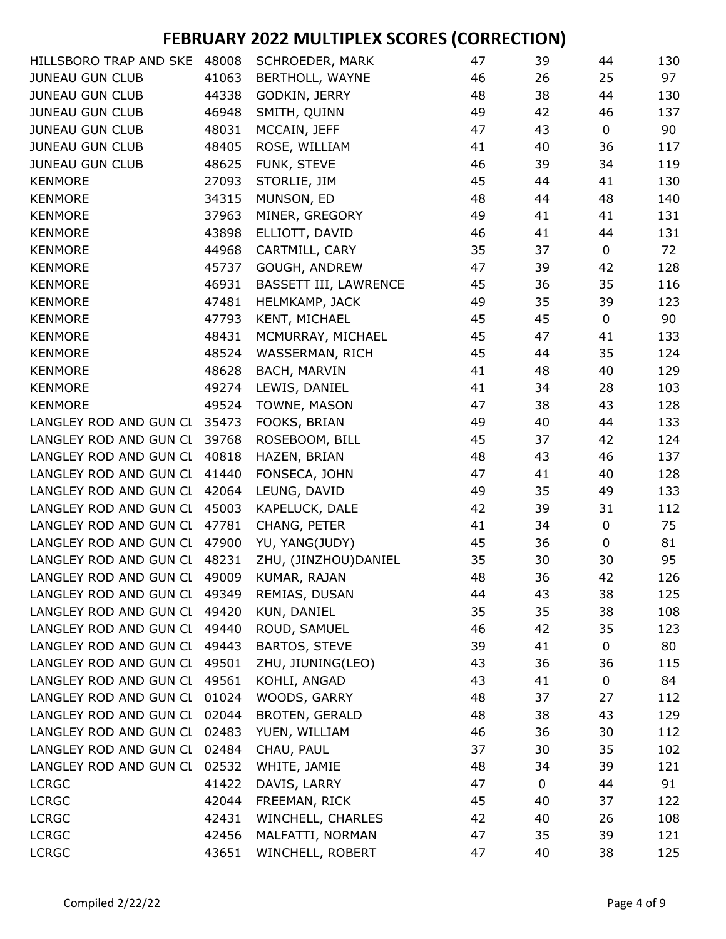| HILLSBORO TRAP AND SKE | 48008 | SCHROEDER, MARK       | 47 | 39 | 44          | 130 |
|------------------------|-------|-----------------------|----|----|-------------|-----|
| <b>JUNEAU GUN CLUB</b> | 41063 | BERTHOLL, WAYNE       | 46 | 26 | 25          | 97  |
| <b>JUNEAU GUN CLUB</b> | 44338 | GODKIN, JERRY         | 48 | 38 | 44          | 130 |
| <b>JUNEAU GUN CLUB</b> | 46948 | SMITH, QUINN          | 49 | 42 | 46          | 137 |
| <b>JUNEAU GUN CLUB</b> | 48031 | MCCAIN, JEFF          | 47 | 43 | $\mathbf 0$ | 90  |
| <b>JUNEAU GUN CLUB</b> | 48405 | ROSE, WILLIAM         | 41 | 40 | 36          | 117 |
| <b>JUNEAU GUN CLUB</b> | 48625 | FUNK, STEVE           | 46 | 39 | 34          | 119 |
| <b>KENMORE</b>         | 27093 | STORLIE, JIM          | 45 | 44 | 41          | 130 |
| <b>KENMORE</b>         | 34315 | MUNSON, ED            | 48 | 44 | 48          | 140 |
| <b>KENMORE</b>         | 37963 | MINER, GREGORY        | 49 | 41 | 41          | 131 |
| <b>KENMORE</b>         | 43898 | ELLIOTT, DAVID        | 46 | 41 | 44          | 131 |
| <b>KENMORE</b>         | 44968 | CARTMILL, CARY        | 35 | 37 | $\mathbf 0$ | 72  |
| <b>KENMORE</b>         | 45737 | GOUGH, ANDREW         | 47 | 39 | 42          | 128 |
| <b>KENMORE</b>         | 46931 | BASSETT III, LAWRENCE | 45 | 36 | 35          | 116 |
| <b>KENMORE</b>         | 47481 | HELMKAMP, JACK        | 49 | 35 | 39          | 123 |
| <b>KENMORE</b>         | 47793 | KENT, MICHAEL         | 45 | 45 | $\mathbf 0$ | 90  |
| <b>KENMORE</b>         | 48431 | MCMURRAY, MICHAEL     | 45 | 47 | 41          | 133 |
| <b>KENMORE</b>         | 48524 | WASSERMAN, RICH       | 45 | 44 | 35          | 124 |
| <b>KENMORE</b>         | 48628 | BACH, MARVIN          | 41 | 48 | 40          | 129 |
| <b>KENMORE</b>         | 49274 | LEWIS, DANIEL         | 41 | 34 | 28          | 103 |
| <b>KENMORE</b>         | 49524 | TOWNE, MASON          | 47 | 38 | 43          | 128 |
| LANGLEY ROD AND GUN CL | 35473 | FOOKS, BRIAN          | 49 | 40 | 44          | 133 |
| LANGLEY ROD AND GUN CL | 39768 | ROSEBOOM, BILL        | 45 | 37 | 42          | 124 |
| LANGLEY ROD AND GUN CI | 40818 | HAZEN, BRIAN          | 48 | 43 | 46          | 137 |
| LANGLEY ROD AND GUN CI | 41440 | FONSECA, JOHN         | 47 | 41 | 40          | 128 |
| LANGLEY ROD AND GUN CI | 42064 | LEUNG, DAVID          | 49 | 35 | 49          | 133 |
| LANGLEY ROD AND GUN CI | 45003 | KAPELUCK, DALE        | 42 | 39 | 31          | 112 |
| LANGLEY ROD AND GUN CI | 47781 | CHANG, PETER          | 41 | 34 | $\pmb{0}$   | 75  |
| LANGLEY ROD AND GUN CI | 47900 | YU, YANG(JUDY)        | 45 | 36 | 0           | 81  |
| LANGLEY ROD AND GUN CI | 48231 | ZHU, (JINZHOU) DANIEL | 35 | 30 | 30          | 95  |
| LANGLEY ROD AND GUN CI | 49009 | KUMAR, RAJAN          | 48 | 36 | 42          | 126 |
| LANGLEY ROD AND GUN CI | 49349 | REMIAS, DUSAN         | 44 | 43 | 38          | 125 |
| LANGLEY ROD AND GUN CI | 49420 | KUN, DANIEL           | 35 | 35 | 38          | 108 |
| LANGLEY ROD AND GUN CI | 49440 | ROUD, SAMUEL          | 46 | 42 | 35          | 123 |
| LANGLEY ROD AND GUN CI | 49443 | <b>BARTOS, STEVE</b>  | 39 | 41 | $\mathbf 0$ | 80  |
| LANGLEY ROD AND GUN CI | 49501 | ZHU, JIUNING(LEO)     | 43 | 36 | 36          | 115 |
| LANGLEY ROD AND GUN CI | 49561 | KOHLI, ANGAD          | 43 | 41 | 0           | 84  |
| LANGLEY ROD AND GUN CI | 01024 | WOODS, GARRY          | 48 | 37 | 27          | 112 |
| LANGLEY ROD AND GUN CI | 02044 | <b>BROTEN, GERALD</b> | 48 | 38 | 43          | 129 |
| LANGLEY ROD AND GUN CI | 02483 | YUEN, WILLIAM         | 46 | 36 | 30          | 112 |
| LANGLEY ROD AND GUN CL | 02484 | CHAU, PAUL            | 37 | 30 | 35          | 102 |
| LANGLEY ROD AND GUN CI | 02532 | WHITE, JAMIE          | 48 | 34 | 39          | 121 |
| <b>LCRGC</b>           | 41422 | DAVIS, LARRY          | 47 | 0  | 44          | 91  |
| <b>LCRGC</b>           | 42044 | FREEMAN, RICK         | 45 | 40 | 37          | 122 |
| <b>LCRGC</b>           | 42431 | WINCHELL, CHARLES     | 42 | 40 | 26          | 108 |
| <b>LCRGC</b>           | 42456 | MALFATTI, NORMAN      | 47 | 35 | 39          | 121 |
| <b>LCRGC</b>           | 43651 | WINCHELL, ROBERT      | 47 | 40 | 38          | 125 |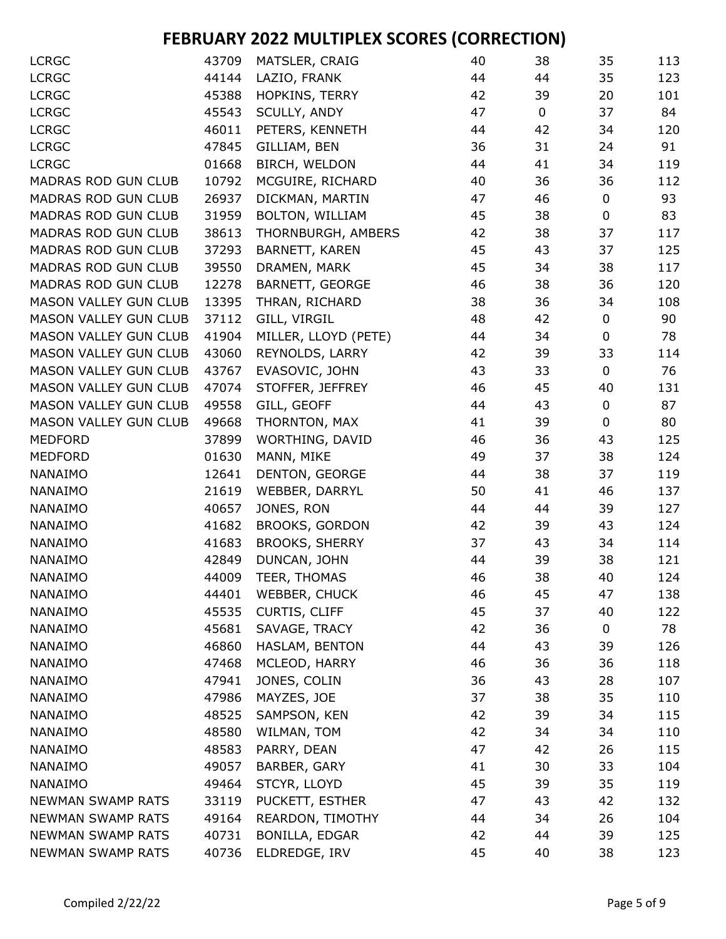| <b>LCRGC</b>                 | 43709 | MATSLER, CRAIG        | 40 | 38          | 35          | 113 |
|------------------------------|-------|-----------------------|----|-------------|-------------|-----|
| <b>LCRGC</b>                 | 44144 | LAZIO, FRANK          | 44 | 44          | 35          | 123 |
| <b>LCRGC</b>                 | 45388 | HOPKINS, TERRY        | 42 | 39          | 20          | 101 |
| <b>LCRGC</b>                 | 45543 | SCULLY, ANDY          | 47 | $\mathbf 0$ | 37          | 84  |
| <b>LCRGC</b>                 | 46011 | PETERS, KENNETH       | 44 | 42          | 34          | 120 |
| <b>LCRGC</b>                 | 47845 | GILLIAM, BEN          | 36 | 31          | 24          | 91  |
| <b>LCRGC</b>                 | 01668 | BIRCH, WELDON         | 44 | 41          | 34          | 119 |
| <b>MADRAS ROD GUN CLUB</b>   | 10792 | MCGUIRE, RICHARD      | 40 | 36          | 36          | 112 |
| MADRAS ROD GUN CLUB          | 26937 | DICKMAN, MARTIN       | 47 | 46          | $\pmb{0}$   | 93  |
| MADRAS ROD GUN CLUB          | 31959 | BOLTON, WILLIAM       | 45 | 38          | $\mathbf 0$ | 83  |
| MADRAS ROD GUN CLUB          | 38613 | THORNBURGH, AMBERS    | 42 | 38          | 37          | 117 |
| <b>MADRAS ROD GUN CLUB</b>   | 37293 | BARNETT, KAREN        | 45 | 43          | 37          | 125 |
| <b>MADRAS ROD GUN CLUB</b>   | 39550 | DRAMEN, MARK          | 45 | 34          | 38          | 117 |
| <b>MADRAS ROD GUN CLUB</b>   | 12278 | BARNETT, GEORGE       | 46 | 38          | 36          | 120 |
| <b>MASON VALLEY GUN CLUB</b> | 13395 | THRAN, RICHARD        | 38 | 36          | 34          | 108 |
| <b>MASON VALLEY GUN CLUB</b> | 37112 | GILL, VIRGIL          | 48 | 42          | $\pmb{0}$   | 90  |
| <b>MASON VALLEY GUN CLUB</b> | 41904 | MILLER, LLOYD (PETE)  | 44 | 34          | $\pmb{0}$   | 78  |
| <b>MASON VALLEY GUN CLUB</b> | 43060 | REYNOLDS, LARRY       | 42 | 39          | 33          | 114 |
| <b>MASON VALLEY GUN CLUB</b> | 43767 | EVASOVIC, JOHN        | 43 | 33          | $\mathbf 0$ | 76  |
| <b>MASON VALLEY GUN CLUB</b> | 47074 | STOFFER, JEFFREY      | 46 | 45          | 40          | 131 |
| MASON VALLEY GUN CLUB        | 49558 | GILL, GEOFF           | 44 | 43          | $\pmb{0}$   | 87  |
| MASON VALLEY GUN CLUB        | 49668 | THORNTON, MAX         | 41 | 39          | $\pmb{0}$   | 80  |
| <b>MEDFORD</b>               | 37899 | WORTHING, DAVID       | 46 | 36          | 43          | 125 |
| <b>MEDFORD</b>               | 01630 | MANN, MIKE            | 49 | 37          | 38          | 124 |
| NANAIMO                      | 12641 | DENTON, GEORGE        | 44 | 38          | 37          | 119 |
| NANAIMO                      | 21619 | WEBBER, DARRYL        | 50 | 41          | 46          | 137 |
| NANAIMO                      | 40657 | JONES, RON            | 44 | 44          | 39          | 127 |
| NANAIMO                      | 41682 | <b>BROOKS, GORDON</b> | 42 | 39          | 43          | 124 |
| NANAIMO                      | 41683 | <b>BROOKS, SHERRY</b> | 37 | 43          | 34          | 114 |
| NANAIMO                      | 42849 | DUNCAN, JOHN          | 44 | 39          | 38          | 121 |
| NANAIMO                      | 44009 | TEER, THOMAS          | 46 | 38          | 40          | 124 |
| NANAIMO                      | 44401 | WEBBER, CHUCK         | 46 | 45          | 47          | 138 |
| NANAIMO                      | 45535 | <b>CURTIS, CLIFF</b>  | 45 | 37          | 40          | 122 |
| NANAIMO                      | 45681 | SAVAGE, TRACY         | 42 | 36          | $\mathbf 0$ | 78  |
| NANAIMO                      | 46860 | HASLAM, BENTON        | 44 | 43          | 39          | 126 |
| NANAIMO                      | 47468 | MCLEOD, HARRY         | 46 | 36          | 36          | 118 |
| NANAIMO                      | 47941 | JONES, COLIN          | 36 | 43          | 28          | 107 |
| NANAIMO                      | 47986 | MAYZES, JOE           | 37 | 38          | 35          | 110 |
| NANAIMO                      | 48525 | SAMPSON, KEN          | 42 | 39          | 34          | 115 |
| <b>NANAIMO</b>               | 48580 | WILMAN, TOM           | 42 | 34          | 34          | 110 |
| NANAIMO                      | 48583 | PARRY, DEAN           | 47 | 42          | 26          | 115 |
| NANAIMO                      | 49057 | BARBER, GARY          | 41 | 30          | 33          | 104 |
| NANAIMO                      | 49464 | STCYR, LLOYD          | 45 | 39          | 35          | 119 |
| <b>NEWMAN SWAMP RATS</b>     | 33119 | PUCKETT, ESTHER       | 47 | 43          | 42          | 132 |
| <b>NEWMAN SWAMP RATS</b>     | 49164 | REARDON, TIMOTHY      | 44 | 34          | 26          | 104 |
| <b>NEWMAN SWAMP RATS</b>     | 40731 | BONILLA, EDGAR        | 42 | 44          | 39          | 125 |
| <b>NEWMAN SWAMP RATS</b>     | 40736 | ELDREDGE, IRV         | 45 | 40          | 38          | 123 |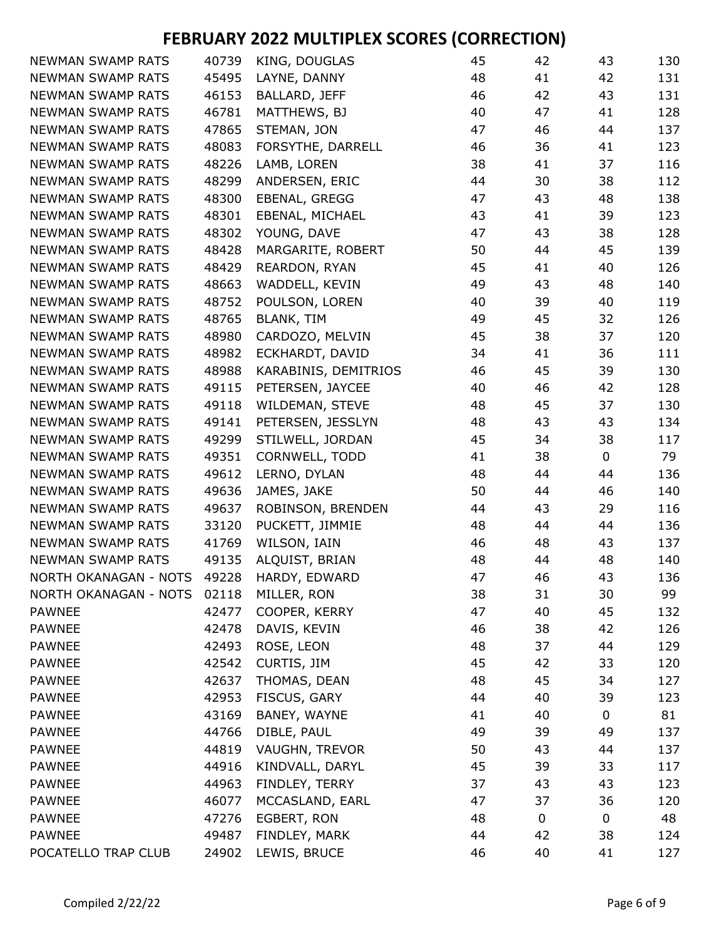| <b>NEWMAN SWAMP RATS</b> | 40739 | KING, DOUGLAS        | 45 | 42 | 43          | 130 |
|--------------------------|-------|----------------------|----|----|-------------|-----|
| <b>NEWMAN SWAMP RATS</b> | 45495 | LAYNE, DANNY         | 48 | 41 | 42          | 131 |
| <b>NEWMAN SWAMP RATS</b> | 46153 | BALLARD, JEFF        | 46 | 42 | 43          | 131 |
| <b>NEWMAN SWAMP RATS</b> | 46781 | MATTHEWS, BJ         | 40 | 47 | 41          | 128 |
| <b>NEWMAN SWAMP RATS</b> | 47865 | STEMAN, JON          | 47 | 46 | 44          | 137 |
| <b>NEWMAN SWAMP RATS</b> | 48083 | FORSYTHE, DARRELL    | 46 | 36 | 41          | 123 |
| <b>NEWMAN SWAMP RATS</b> | 48226 | LAMB, LOREN          | 38 | 41 | 37          | 116 |
| <b>NEWMAN SWAMP RATS</b> | 48299 | ANDERSEN, ERIC       | 44 | 30 | 38          | 112 |
| <b>NEWMAN SWAMP RATS</b> | 48300 | EBENAL, GREGG        | 47 | 43 | 48          | 138 |
| <b>NEWMAN SWAMP RATS</b> | 48301 | EBENAL, MICHAEL      | 43 | 41 | 39          | 123 |
| <b>NEWMAN SWAMP RATS</b> | 48302 | YOUNG, DAVE          | 47 | 43 | 38          | 128 |
| <b>NEWMAN SWAMP RATS</b> | 48428 | MARGARITE, ROBERT    | 50 | 44 | 45          | 139 |
| <b>NEWMAN SWAMP RATS</b> | 48429 | REARDON, RYAN        | 45 | 41 | 40          | 126 |
| <b>NEWMAN SWAMP RATS</b> | 48663 | WADDELL, KEVIN       | 49 | 43 | 48          | 140 |
| <b>NEWMAN SWAMP RATS</b> | 48752 | POULSON, LOREN       | 40 | 39 | 40          | 119 |
| <b>NEWMAN SWAMP RATS</b> | 48765 | BLANK, TIM           | 49 | 45 | 32          | 126 |
| <b>NEWMAN SWAMP RATS</b> | 48980 | CARDOZO, MELVIN      | 45 | 38 | 37          | 120 |
| <b>NEWMAN SWAMP RATS</b> | 48982 | ECKHARDT, DAVID      | 34 | 41 | 36          | 111 |
| <b>NEWMAN SWAMP RATS</b> | 48988 | KARABINIS, DEMITRIOS | 46 | 45 | 39          | 130 |
| <b>NEWMAN SWAMP RATS</b> | 49115 | PETERSEN, JAYCEE     | 40 | 46 | 42          | 128 |
| <b>NEWMAN SWAMP RATS</b> | 49118 | WILDEMAN, STEVE      | 48 | 45 | 37          | 130 |
| <b>NEWMAN SWAMP RATS</b> | 49141 | PETERSEN, JESSLYN    | 48 | 43 | 43          | 134 |
| <b>NEWMAN SWAMP RATS</b> | 49299 | STILWELL, JORDAN     | 45 | 34 | 38          | 117 |
| <b>NEWMAN SWAMP RATS</b> | 49351 | CORNWELL, TODD       | 41 | 38 | 0           | 79  |
| <b>NEWMAN SWAMP RATS</b> | 49612 | LERNO, DYLAN         | 48 | 44 | 44          | 136 |
| <b>NEWMAN SWAMP RATS</b> | 49636 | JAMES, JAKE          | 50 | 44 | 46          | 140 |
| <b>NEWMAN SWAMP RATS</b> | 49637 | ROBINSON, BRENDEN    | 44 | 43 | 29          | 116 |
| <b>NEWMAN SWAMP RATS</b> | 33120 | PUCKETT, JIMMIE      | 48 | 44 | 44          | 136 |
| <b>NEWMAN SWAMP RATS</b> | 41769 | WILSON, IAIN         | 46 | 48 | 43          | 137 |
| <b>NEWMAN SWAMP RATS</b> | 49135 | ALQUIST, BRIAN       | 48 | 44 | 48          | 140 |
| NORTH OKANAGAN - NOTS    | 49228 | HARDY, EDWARD        | 47 | 46 | 43          | 136 |
| NORTH OKANAGAN - NOTS    | 02118 | MILLER, RON          | 38 | 31 | 30          | 99  |
| <b>PAWNEE</b>            | 42477 | COOPER, KERRY        | 47 | 40 | 45          | 132 |
| <b>PAWNEE</b>            | 42478 | DAVIS, KEVIN         | 46 | 38 | 42          | 126 |
| <b>PAWNEE</b>            | 42493 | ROSE, LEON           | 48 | 37 | 44          | 129 |
| <b>PAWNEE</b>            | 42542 | CURTIS, JIM          | 45 | 42 | 33          | 120 |
| <b>PAWNEE</b>            | 42637 | THOMAS, DEAN         | 48 | 45 | 34          | 127 |
| <b>PAWNEE</b>            | 42953 | FISCUS, GARY         | 44 | 40 | 39          | 123 |
| <b>PAWNEE</b>            | 43169 | BANEY, WAYNE         | 41 | 40 | 0           | 81  |
| <b>PAWNEE</b>            | 44766 | DIBLE, PAUL          | 49 | 39 | 49          | 137 |
| <b>PAWNEE</b>            | 44819 | VAUGHN, TREVOR       | 50 | 43 | 44          | 137 |
| <b>PAWNEE</b>            | 44916 | KINDVALL, DARYL      | 45 | 39 | 33          | 117 |
| <b>PAWNEE</b>            | 44963 | FINDLEY, TERRY       | 37 | 43 | 43          | 123 |
| <b>PAWNEE</b>            | 46077 | MCCASLAND, EARL      | 47 | 37 | 36          | 120 |
| <b>PAWNEE</b>            | 47276 | EGBERT, RON          | 48 | 0  | $\mathbf 0$ | 48  |
| PAWNEE                   | 49487 | FINDLEY, MARK        | 44 | 42 | 38          | 124 |
| POCATELLO TRAP CLUB      | 24902 | LEWIS, BRUCE         | 46 | 40 | 41          | 127 |
|                          |       |                      |    |    |             |     |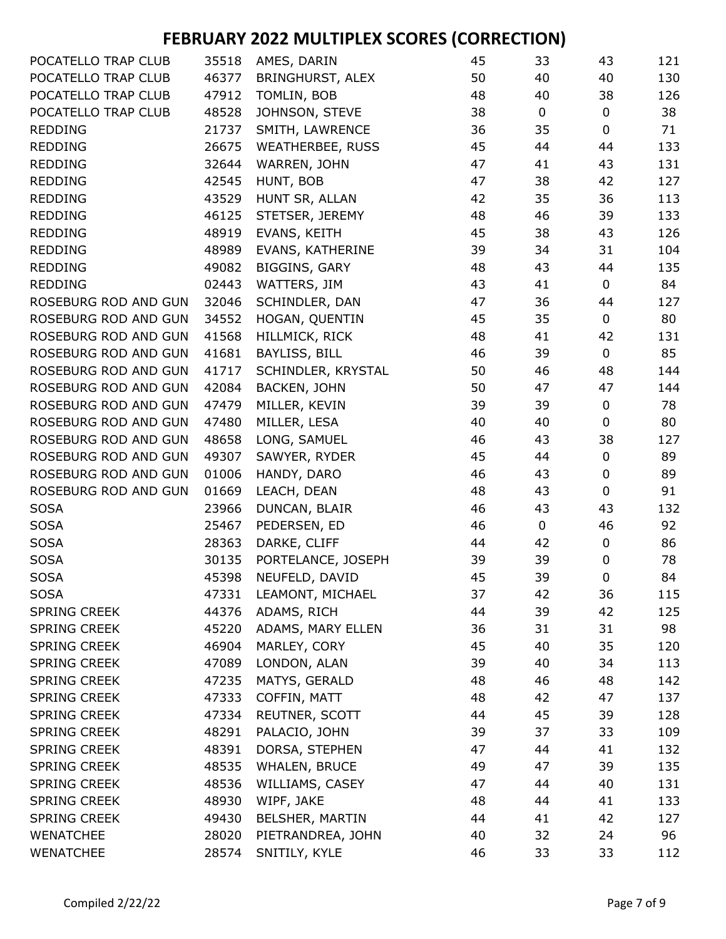| POCATELLO TRAP CLUB  | 35518 | AMES, DARIN             | 45 | 33          | 43          | 121 |
|----------------------|-------|-------------------------|----|-------------|-------------|-----|
| POCATELLO TRAP CLUB  | 46377 | BRINGHURST, ALEX        | 50 | 40          | 40          | 130 |
| POCATELLO TRAP CLUB  | 47912 | TOMLIN, BOB             | 48 | 40          | 38          | 126 |
| POCATELLO TRAP CLUB  | 48528 | JOHNSON, STEVE          | 38 | $\mathbf 0$ | $\pmb{0}$   | 38  |
| <b>REDDING</b>       | 21737 | SMITH, LAWRENCE         | 36 | 35          | $\mathbf 0$ | 71  |
| <b>REDDING</b>       | 26675 | <b>WEATHERBEE, RUSS</b> | 45 | 44          | 44          | 133 |
| <b>REDDING</b>       | 32644 | WARREN, JOHN            | 47 | 41          | 43          | 131 |
| <b>REDDING</b>       | 42545 | HUNT, BOB               | 47 | 38          | 42          | 127 |
| <b>REDDING</b>       | 43529 | HUNT SR, ALLAN          | 42 | 35          | 36          | 113 |
| <b>REDDING</b>       | 46125 | STETSER, JEREMY         | 48 | 46          | 39          | 133 |
| <b>REDDING</b>       | 48919 | EVANS, KEITH            | 45 | 38          | 43          | 126 |
| <b>REDDING</b>       | 48989 | EVANS, KATHERINE        | 39 | 34          | 31          | 104 |
| <b>REDDING</b>       | 49082 | <b>BIGGINS, GARY</b>    | 48 | 43          | 44          | 135 |
| <b>REDDING</b>       | 02443 | WATTERS, JIM            | 43 | 41          | $\mathbf 0$ | 84  |
| ROSEBURG ROD AND GUN | 32046 | SCHINDLER, DAN          | 47 | 36          | 44          | 127 |
| ROSEBURG ROD AND GUN | 34552 | HOGAN, QUENTIN          | 45 | 35          | $\mathbf 0$ | 80  |
| ROSEBURG ROD AND GUN | 41568 | HILLMICK, RICK          | 48 | 41          | 42          | 131 |
| ROSEBURG ROD AND GUN | 41681 | BAYLISS, BILL           | 46 | 39          | $\pmb{0}$   | 85  |
| ROSEBURG ROD AND GUN | 41717 | SCHINDLER, KRYSTAL      | 50 | 46          | 48          | 144 |
| ROSEBURG ROD AND GUN | 42084 | BACKEN, JOHN            | 50 | 47          | 47          | 144 |
| ROSEBURG ROD AND GUN | 47479 | MILLER, KEVIN           | 39 | 39          | $\pmb{0}$   | 78  |
| ROSEBURG ROD AND GUN | 47480 | MILLER, LESA            | 40 | 40          | 0           | 80  |
| ROSEBURG ROD AND GUN | 48658 | LONG, SAMUEL            | 46 | 43          | 38          | 127 |
| ROSEBURG ROD AND GUN | 49307 | SAWYER, RYDER           | 45 | 44          | 0           | 89  |
| ROSEBURG ROD AND GUN | 01006 | HANDY, DARO             | 46 | 43          | 0           | 89  |
| ROSEBURG ROD AND GUN | 01669 | LEACH, DEAN             | 48 | 43          | 0           | 91  |
| <b>SOSA</b>          | 23966 | DUNCAN, BLAIR           | 46 | 43          | 43          | 132 |
| <b>SOSA</b>          | 25467 | PEDERSEN, ED            | 46 | $\mathbf 0$ | 46          | 92  |
| <b>SOSA</b>          | 28363 | DARKE, CLIFF            | 44 | 42          | $\pmb{0}$   | 86  |
| <b>SOSA</b>          | 30135 | PORTELANCE, JOSEPH      | 39 | 39          | $\pmb{0}$   | 78  |
| <b>SOSA</b>          | 45398 | NEUFELD, DAVID          | 45 | 39          | $\mathbf 0$ | 84  |
| <b>SOSA</b>          | 47331 | LEAMONT, MICHAEL        | 37 | 42          | 36          | 115 |
| SPRING CREEK         | 44376 | ADAMS, RICH             | 44 | 39          | 42          | 125 |
| <b>SPRING CREEK</b>  | 45220 | ADAMS, MARY ELLEN       | 36 | 31          | 31          | 98  |
| <b>SPRING CREEK</b>  | 46904 | MARLEY, CORY            | 45 | 40          | 35          | 120 |
| <b>SPRING CREEK</b>  | 47089 | LONDON, ALAN            | 39 | 40          | 34          | 113 |
| <b>SPRING CREEK</b>  | 47235 | MATYS, GERALD           | 48 | 46          | 48          | 142 |
| <b>SPRING CREEK</b>  | 47333 | COFFIN, MATT            | 48 | 42          | 47          | 137 |
| <b>SPRING CREEK</b>  | 47334 | REUTNER, SCOTT          | 44 | 45          | 39          | 128 |
| <b>SPRING CREEK</b>  | 48291 | PALACIO, JOHN           | 39 | 37          | 33          | 109 |
| <b>SPRING CREEK</b>  | 48391 | DORSA, STEPHEN          | 47 | 44          | 41          | 132 |
| <b>SPRING CREEK</b>  | 48535 | WHALEN, BRUCE           | 49 | 47          | 39          | 135 |
| <b>SPRING CREEK</b>  | 48536 | WILLIAMS, CASEY         | 47 | 44          | 40          | 131 |
| <b>SPRING CREEK</b>  | 48930 | WIPF, JAKE              | 48 | 44          | 41          | 133 |
| <b>SPRING CREEK</b>  | 49430 | BELSHER, MARTIN         | 44 | 41          | 42          | 127 |
| <b>WENATCHEE</b>     | 28020 | PIETRANDREA, JOHN       | 40 | 32          | 24          | 96  |
| <b>WENATCHEE</b>     | 28574 | SNITILY, KYLE           | 46 | 33          | 33          | 112 |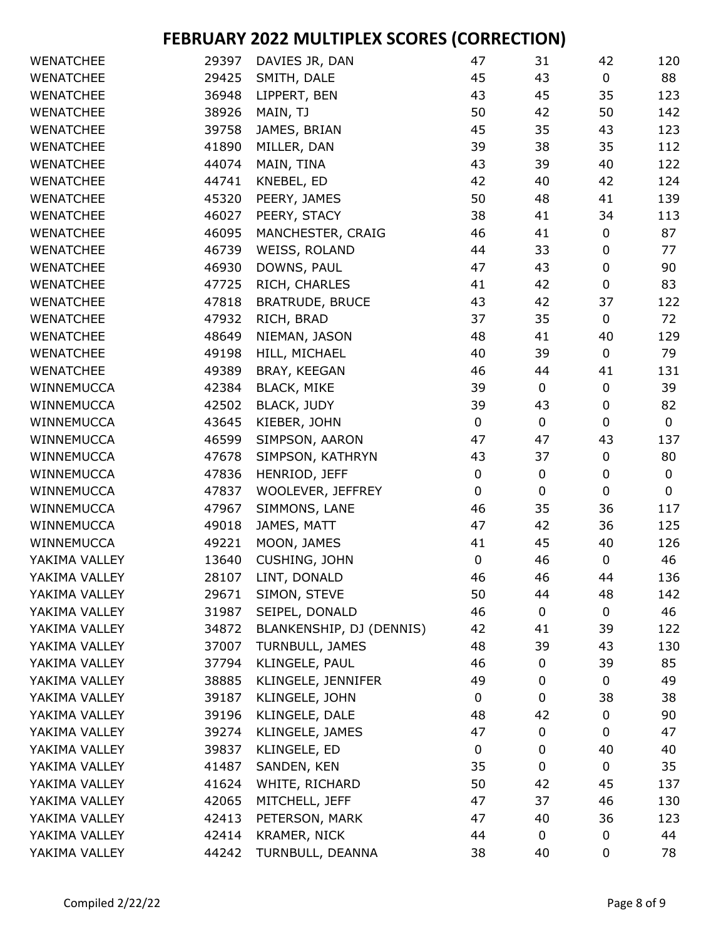| <b>WENATCHEE</b> | 29397 | DAVIES JR, DAN           | 47          | 31        | 42          | 120 |
|------------------|-------|--------------------------|-------------|-----------|-------------|-----|
| <b>WENATCHEE</b> | 29425 | SMITH, DALE              | 45          | 43        | $\mathbf 0$ | 88  |
| <b>WENATCHEE</b> | 36948 | LIPPERT, BEN             | 43          | 45        | 35          | 123 |
| <b>WENATCHEE</b> | 38926 | MAIN, TJ                 | 50          | 42        | 50          | 142 |
| <b>WENATCHEE</b> | 39758 | JAMES, BRIAN             | 45          | 35        | 43          | 123 |
| <b>WENATCHEE</b> | 41890 | MILLER, DAN              | 39          | 38        | 35          | 112 |
| <b>WENATCHEE</b> | 44074 | MAIN, TINA               | 43          | 39        | 40          | 122 |
| <b>WENATCHEE</b> | 44741 | KNEBEL, ED               | 42          | 40        | 42          | 124 |
| <b>WENATCHEE</b> | 45320 | PEERY, JAMES             | 50          | 48        | 41          | 139 |
| <b>WENATCHEE</b> | 46027 | PEERY, STACY             | 38          | 41        | 34          | 113 |
| <b>WENATCHEE</b> | 46095 | MANCHESTER, CRAIG        | 46          | 41        | $\pmb{0}$   | 87  |
| <b>WENATCHEE</b> | 46739 | WEISS, ROLAND            | 44          | 33        | 0           | 77  |
| <b>WENATCHEE</b> | 46930 | DOWNS, PAUL              | 47          | 43        | $\pmb{0}$   | 90  |
| <b>WENATCHEE</b> | 47725 | RICH, CHARLES            | 41          | 42        | $\pmb{0}$   | 83  |
| <b>WENATCHEE</b> | 47818 | <b>BRATRUDE, BRUCE</b>   | 43          | 42        | 37          | 122 |
| <b>WENATCHEE</b> | 47932 | RICH, BRAD               | 37          | 35        | $\pmb{0}$   | 72  |
| <b>WENATCHEE</b> | 48649 | NIEMAN, JASON            | 48          | 41        | 40          | 129 |
| <b>WENATCHEE</b> | 49198 | HILL, MICHAEL            | 40          | 39        | $\pmb{0}$   | 79  |
| <b>WENATCHEE</b> | 49389 | BRAY, KEEGAN             | 46          | 44        | 41          | 131 |
| WINNEMUCCA       | 42384 | <b>BLACK, MIKE</b>       | 39          | 0         | $\pmb{0}$   | 39  |
| WINNEMUCCA       | 42502 | <b>BLACK, JUDY</b>       | 39          | 43        | $\pmb{0}$   | 82  |
| WINNEMUCCA       | 43645 | KIEBER, JOHN             | $\mathbf 0$ | 0         | $\mathbf 0$ | 0   |
| WINNEMUCCA       | 46599 | SIMPSON, AARON           | 47          | 47        | 43          | 137 |
| WINNEMUCCA       | 47678 | SIMPSON, KATHRYN         | 43          | 37        | $\mathbf 0$ | 80  |
| WINNEMUCCA       | 47836 | HENRIOD, JEFF            | 0           | $\pmb{0}$ | $\pmb{0}$   | 0   |
| WINNEMUCCA       | 47837 | WOOLEVER, JEFFREY        | $\mathbf 0$ | 0         | $\pmb{0}$   | 0   |
| WINNEMUCCA       | 47967 | SIMMONS, LANE            | 46          | 35        | 36          | 117 |
| WINNEMUCCA       | 49018 | JAMES, MATT              | 47          | 42        | 36          | 125 |
| WINNEMUCCA       | 49221 | MOON, JAMES              | 41          | 45        | 40          | 126 |
| YAKIMA VALLEY    | 13640 | CUSHING, JOHN            | $\pmb{0}$   | 46        | $\pmb{0}$   | 46  |
| YAKIMA VALLEY    | 28107 | LINT, DONALD             | 46          | 46        | 44          | 136 |
| YAKIMA VALLEY    | 29671 | SIMON, STEVE             | 50          | 44        | 48          | 142 |
| YAKIMA VALLEY    | 31987 | SEIPEL, DONALD           | 46          | 0         | $\pmb{0}$   | 46  |
| YAKIMA VALLEY    | 34872 | BLANKENSHIP, DJ (DENNIS) | 42          | 41        | 39          | 122 |
| YAKIMA VALLEY    | 37007 | TURNBULL, JAMES          | 48          | 39        | 43          | 130 |
| YAKIMA VALLEY    | 37794 | KLINGELE, PAUL           | 46          | 0         | 39          | 85  |
| YAKIMA VALLEY    | 38885 | KLINGELE, JENNIFER       | 49          | 0         | 0           | 49  |
| YAKIMA VALLEY    | 39187 | KLINGELE, JOHN           | 0           | 0         | 38          | 38  |
| YAKIMA VALLEY    | 39196 | KLINGELE, DALE           | 48          | 42        | $\pmb{0}$   | 90  |
| YAKIMA VALLEY    | 39274 | KLINGELE, JAMES          | 47          | 0         | 0           | 47  |
| YAKIMA VALLEY    | 39837 | KLINGELE, ED             | 0           | 0         | 40          | 40  |
| YAKIMA VALLEY    | 41487 | SANDEN, KEN              | 35          | 0         | 0           | 35  |
| YAKIMA VALLEY    | 41624 | WHITE, RICHARD           | 50          | 42        | 45          | 137 |
| YAKIMA VALLEY    | 42065 | MITCHELL, JEFF           | 47          | 37        | 46          | 130 |
| YAKIMA VALLEY    | 42413 | PETERSON, MARK           | 47          | 40        | 36          | 123 |
| YAKIMA VALLEY    | 42414 | KRAMER, NICK             | 44          | 0         | $\mathbf 0$ | 44  |
| YAKIMA VALLEY    | 44242 | TURNBULL, DEANNA         | 38          | 40        | 0           | 78  |